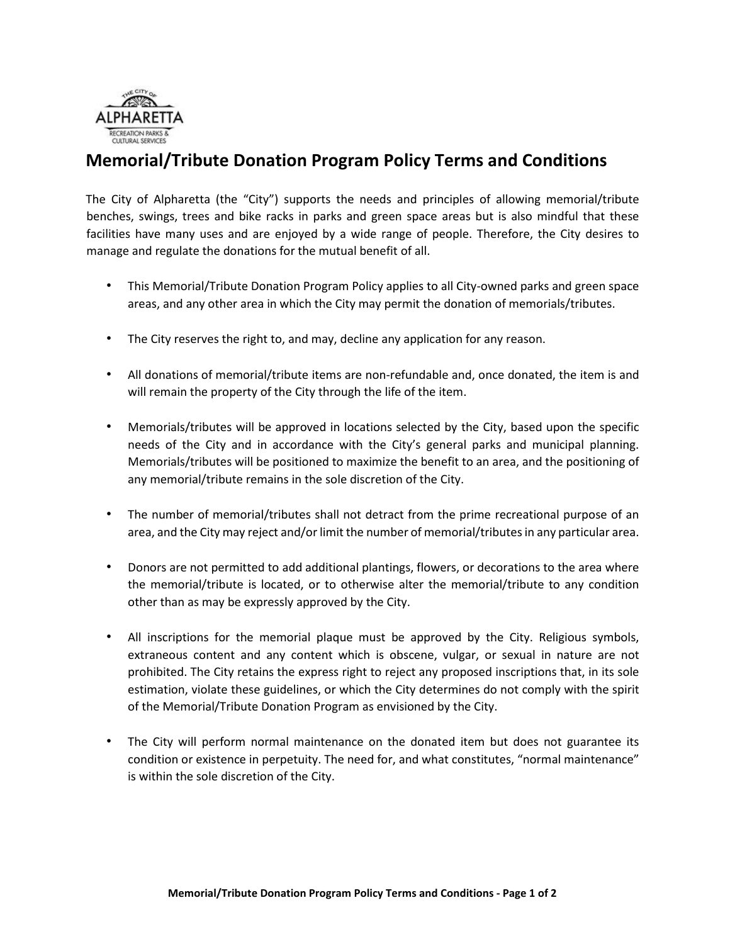

## **Memorial/Tribute Donation Program Policy Terms and Conditions**

The City of Alpharetta (the "City") supports the needs and principles of allowing memorial/tribute benches, swings, trees and bike racks in parks and green space areas but is also mindful that these facilities have many uses and are enjoyed by a wide range of people. Therefore, the City desires to manage and regulate the donations for the mutual benefit of all.

- This Memorial/Tribute Donation Program Policy applies to all City-owned parks and green space areas, and any other area in which the City may permit the donation of memorials/tributes.
- The City reserves the right to, and may, decline any application for any reason.
- All donations of memorial/tribute items are non-refundable and, once donated, the item is and will remain the property of the City through the life of the item.
- Memorials/tributes will be approved in locations selected by the City, based upon the specific needs of the City and in accordance with the City's general parks and municipal planning. Memorials/tributes will be positioned to maximize the benefit to an area, and the positioning of any memorial/tribute remains in the sole discretion of the City.
- The number of memorial/tributes shall not detract from the prime recreational purpose of an area, and the City may reject and/or limit the number of memorial/tributes in any particular area.
- Donors are not permitted to add additional plantings, flowers, or decorations to the area where the memorial/tribute is located, or to otherwise alter the memorial/tribute to any condition other than as may be expressly approved by the City.
- All inscriptions for the memorial plaque must be approved by the City. Religious symbols, extraneous content and any content which is obscene, vulgar, or sexual in nature are not prohibited. The City retains the express right to reject any proposed inscriptions that, in its sole estimation, violate these guidelines, or which the City determines do not comply with the spirit of the Memorial/Tribute Donation Program as envisioned by the City.
- The City will perform normal maintenance on the donated item but does not guarantee its condition or existence in perpetuity. The need for, and what constitutes, "normal maintenance" is within the sole discretion of the City.